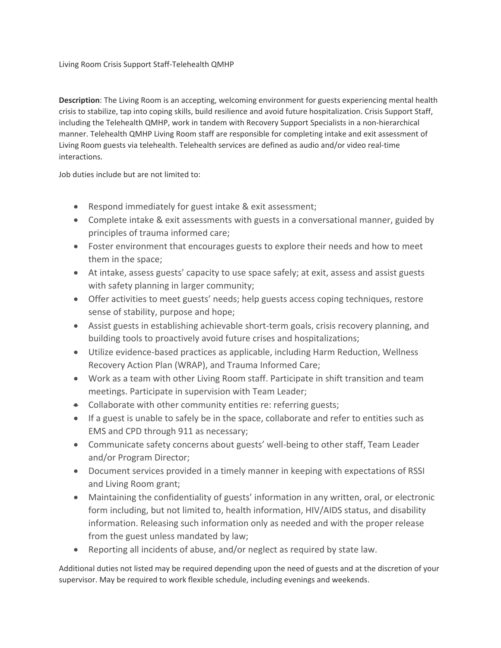## Living Room Crisis Support Staff-Telehealth QMHP

**Description**: The Living Room is an accepting, welcoming environment for guests experiencing mental health crisis to stabilize, tap into coping skills, build resilience and avoid future hospitalization. Crisis Support Staff, including the Telehealth QMHP, work in tandem with Recovery Support Specialists in a non-hierarchical manner. Telehealth QMHP Living Room staff are responsible for completing intake and exit assessment of Living Room guests via telehealth. Telehealth services are defined as audio and/or video real-time interactions.

Job duties include but are not limited to:

- Respond immediately for guest intake & exit assessment;
- Complete intake & exit assessments with guests in a conversational manner, guided by principles of trauma informed care;
- Foster environment that encourages guests to explore their needs and how to meet them in the space;
- At intake, assess guests' capacity to use space safely; at exit, assess and assist guests with safety planning in larger community;
- Offer activities to meet guests' needs; help guests access coping techniques, restore sense of stability, purpose and hope;
- Assist guests in establishing achievable short-term goals, crisis recovery planning, and building tools to proactively avoid future crises and hospitalizations;
- Utilize evidence-based practices as applicable, including Harm Reduction, Wellness Recovery Action Plan (WRAP), and Trauma Informed Care;
- Work as a team with other Living Room staff. Participate in shift transition and team meetings. Participate in supervision with Team Leader;
- Collaborate with other community entities re: referring guests;
- If a guest is unable to safely be in the space, collaborate and refer to entities such as EMS and CPD through 911 as necessary;
- Communicate safety concerns about guests' well-being to other staff, Team Leader and/or Program Director;
- Document services provided in a timely manner in keeping with expectations of RSSI and Living Room grant;
- Maintaining the confidentiality of guests' information in any written, oral, or electronic form including, but not limited to, health information, HIV/AIDS status, and disability information. Releasing such information only as needed and with the proper release from the guest unless mandated by law;
- Reporting all incidents of abuse, and/or neglect as required by state law.

Additional duties not listed may be required depending upon the need of guests and at the discretion of your supervisor. May be required to work flexible schedule, including evenings and weekends.